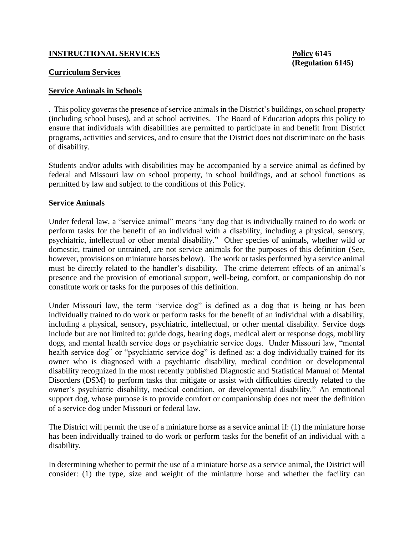## **INSTRUCTIONAL SERVICES Policy 6145**

#### **Curriculum Services**

#### **Service Animals in Schools**

. This policy governs the presence of service animals in the District's buildings, on school property (including school buses), and at school activities. The Board of Education adopts this policy to ensure that individuals with disabilities are permitted to participate in and benefit from District programs, activities and services, and to ensure that the District does not discriminate on the basis of disability.

Students and/or adults with disabilities may be accompanied by a service animal as defined by federal and Missouri law on school property, in school buildings, and at school functions as permitted by law and subject to the conditions of this Policy.

#### **Service Animals**

Under federal law, a "service animal" means "any dog that is individually trained to do work or perform tasks for the benefit of an individual with a disability, including a physical, sensory, psychiatric, intellectual or other mental disability." Other species of animals, whether wild or domestic, trained or untrained, are not service animals for the purposes of this definition (See, however, provisions on miniature horses below). The work or tasks performed by a service animal must be directly related to the handler's disability. The crime deterrent effects of an animal's presence and the provision of emotional support, well-being, comfort, or companionship do not constitute work or tasks for the purposes of this definition.

Under Missouri law, the term "service dog" is defined as a dog that is being or has been individually trained to do work or perform tasks for the benefit of an individual with a disability, including a physical, sensory, psychiatric, intellectual, or other mental disability. Service dogs include but are not limited to: guide dogs, hearing dogs, medical alert or response dogs, mobility dogs, and mental health service dogs or psychiatric service dogs. Under Missouri law, "mental health service dog" or "psychiatric service dog" is defined as: a dog individually trained for its owner who is diagnosed with a psychiatric disability, medical condition or developmental disability recognized in the most recently published Diagnostic and Statistical Manual of Mental Disorders (DSM) to perform tasks that mitigate or assist with difficulties directly related to the owner's psychiatric disability, medical condition, or developmental disability." An emotional support dog, whose purpose is to provide comfort or companionship does not meet the definition of a service dog under Missouri or federal law.

The District will permit the use of a miniature horse as a service animal if: (1) the miniature horse has been individually trained to do work or perform tasks for the benefit of an individual with a disability.

In determining whether to permit the use of a miniature horse as a service animal, the District will consider: (1) the type, size and weight of the miniature horse and whether the facility can